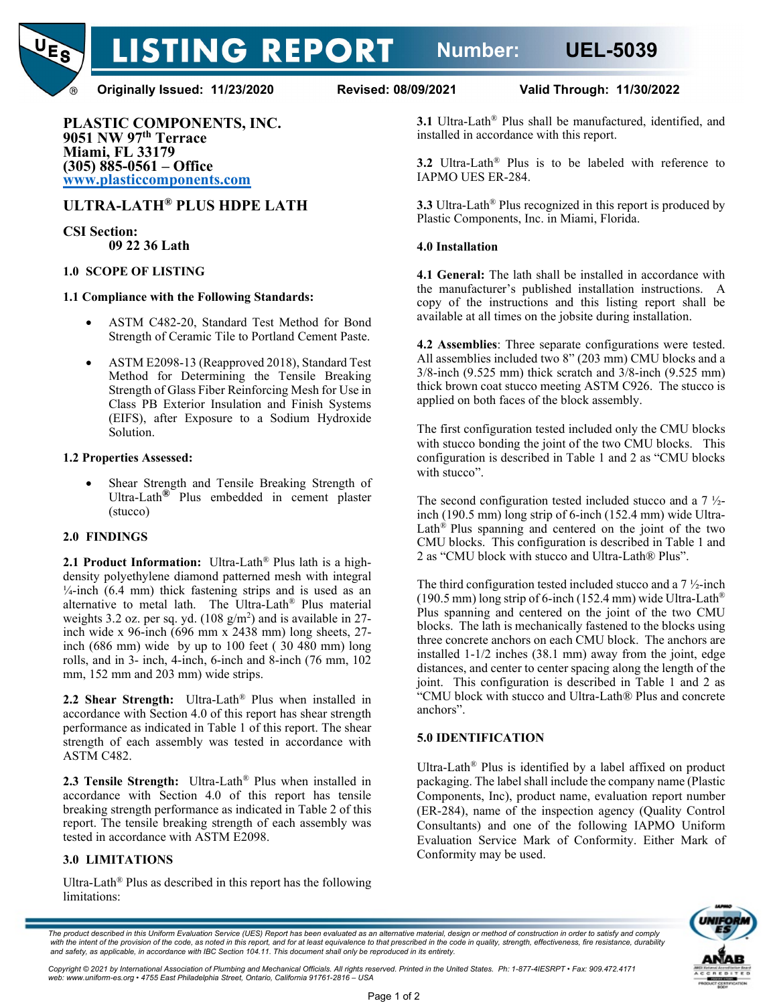

**LISTING REPORT** 

**Originally Issued: 11/23/2020 Revised: 08/09/2021 Valid Through: 11/30/2022**

**PLASTIC COMPONENTS, INC. 9051 NW 97th Terrace Miami, FL 33179 (305) 885-0561 – Office [www.plasticcomponents.com](http://www.plasticcomponents.com/)**

# **ULTRA-LATH® PLUS HDPE LATH**

**CSI Section: 09 22 36 Lath**

## **1.0 SCOPE OF LISTING**

#### **1.1 Compliance with the Following Standards:**

- ASTM C482-20, Standard Test Method for Bond Strength of Ceramic Tile to Portland Cement Paste.
- ASTM E2098-13 (Reapproved 2018), Standard Test Method for Determining the Tensile Breaking Strength of Glass Fiber Reinforcing Mesh for Use in Class PB Exterior Insulation and Finish Systems (EIFS), after Exposure to a Sodium Hydroxide Solution.

## **1.2 Properties Assessed:**

Shear Strength and Tensile Breaking Strength of Ultra-Lath**®** Plus embedded in cement plaster (stucco)

## **2.0 FINDINGS**

**2.1 Product Information:** Ultra-Lath® Plus lath is a highdensity polyethylene diamond patterned mesh with integral  $\frac{1}{4}$ -inch (6.4 mm) thick fastening strips and is used as an alternative to metal lath. The Ultra-Lath® Plus material weights 3.2 oz. per sq. yd.  $(108 \text{ g/m}^2)$  and is available in 27inch wide x 96-inch (696 mm x 2438 mm) long sheets, 27 inch (686 mm) wide by up to 100 feet ( 30 480 mm) long rolls, and in 3- inch, 4-inch, 6-inch and 8-inch (76 mm, 102 mm, 152 mm and 203 mm) wide strips.

**2.2 Shear Strength:** Ultra-Lath® Plus when installed in accordance with Section 4.0 of this report has shear strength performance as indicated in Table 1 of this report. The shear strength of each assembly was tested in accordance with ASTM C482.

**2.3 Tensile Strength:** Ultra-Lath® Plus when installed in accordance with Section 4.0 of this report has tensile breaking strength performance as indicated in Table 2 of this report. The tensile breaking strength of each assembly was tested in accordance with ASTM E2098.

## **3.0 LIMITATIONS**

Ultra-Lath<sup>®</sup> Plus as described in this report has the following limitations:

**3.1** Ultra-Lath® Plus shall be manufactured, identified, and installed in accordance with this report.

**3.2** Ultra-Lath® Plus is to be labeled with reference to IAPMO UES ER-284.

**3.3** Ultra-Lath® Plus recognized in this report is produced by Plastic Components, Inc. in Miami, Florida.

#### **4.0 Installation**

**4.1 General:** The lath shall be installed in accordance with the manufacturer's published installation instructions. A copy of the instructions and this listing report shall be available at all times on the jobsite during installation.

**4.2 Assemblies**: Three separate configurations were tested. All assemblies included two 8" (203 mm) CMU blocks and a 3/8-inch (9.525 mm) thick scratch and 3/8-inch (9.525 mm) thick brown coat stucco meeting ASTM C926. The stucco is applied on both faces of the block assembly.

The first configuration tested included only the CMU blocks with stucco bonding the joint of the two CMU blocks. This configuration is described in Table 1 and 2 as "CMU blocks with stucco".

The second configuration tested included stucco and a 7 ½ inch (190.5 mm) long strip of 6-inch (152.4 mm) wide Ultra-Lath® Plus spanning and centered on the joint of the two CMU blocks. This configuration is described in Table 1 and 2 as "CMU block with stucco and Ultra-Lath® Plus".

The third configuration tested included stucco and a  $7\frac{1}{2}$ -inch (190.5 mm) long strip of 6-inch (152.4 mm) wide Ultra-Lath® Plus spanning and centered on the joint of the two CMU blocks. The lath is mechanically fastened to the blocks using three concrete anchors on each CMU block. The anchors are installed 1-1/2 inches (38.1 mm) away from the joint, edge distances, and center to center spacing along the length of the joint. This configuration is described in Table 1 and 2 as "CMU block with stucco and Ultra-Lath® Plus and concrete anchors".

#### **5.0 IDENTIFICATION**

Ultra-Lath® Plus is identified by a label affixed on product packaging. The label shall include the company name (Plastic Components, Inc), product name, evaluation report number (ER-284), name of the inspection agency (Quality Control Consultants) and one of the following IAPMO Uniform Evaluation Service Mark of Conformity. Either Mark of Conformity may be used.



*The product described in this Uniform Evaluation Service (UES) Report has been evaluated as an alternative material, design or method of construction in order to satisfy and comply* with the intent of the provision of the code, as noted in this report, and for at least equivalence to that prescribed in the code in quality, strength, effectiveness, fire resistance, durability *and safety, as applicable, in accordance with IBC Section 104.11. This document shall only be reproduced in its entirety.* 

*Copyright © 2021 by International Association of Plumbing and Mechanical Officials. All rights reserved. Printed in the United States. Ph: 1-877-4IESRPT • Fax: 909.472.4171 web: www.uniform-es.org • 4755 East Philadelphia Street, Ontario, California 91761-2816 – USA*